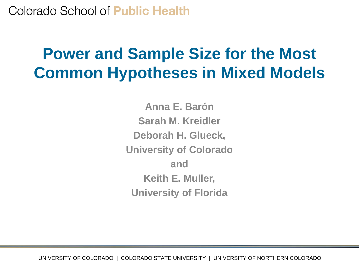### Colorado School of **Public Health**

### **Power and Sample Size for the Most Common Hypotheses in Mixed Models**

**Anna E. Barón Sarah M. Kreidler Deborah H. Glueck, University of Colorado and Keith E. Muller, University of Florida**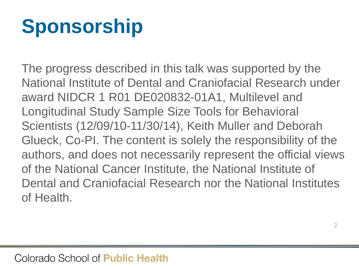# **Sponsorship**

The progress described in this talk was supported by the National Institute of Dental and Craniofacial Research under award NIDCR 1 R01 DE020832-01A1, Multilevel and Longitudinal Study Sample Size Tools for Behavioral Scientists (12/09/10-11/30/14), Keith Muller and Deborah Glueck, Co-PI. The content is solely the responsibility of the authors, and does not necessarily represent the official views of the National Cancer Institute, the National Institute of Dental and Craniofacial Research nor the National Institutes of Health.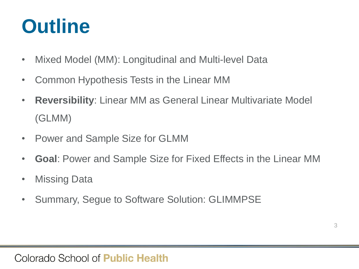# **Outline**

- Mixed Model (MM): Longitudinal and Multi-level Data
- Common Hypothesis Tests in the Linear MM
- **Reversibility**: Linear MM as General Linear Multivariate Model (GLMM)
- Power and Sample Size for GLMM
- **Goal**: Power and Sample Size for Fixed Effects in the Linear MM
- Missing Data
- Summary, Segue to Software Solution: GLIMMPSE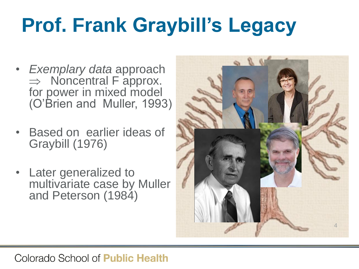# **Prof. Frank Graybill's Legacy**

- *Exemplary data* approach  $\Rightarrow$  Noncentral F approx. for power in mixed model (O'Brien and Muller, 1993)
- Based on earlier ideas of Graybill (1976)
- Later generalized to multivariate case by Muller and Peterson (1984)

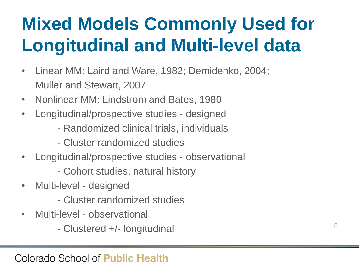# **Mixed Models Commonly Used for Longitudinal and Multi-level data**

- Linear MM: Laird and Ware, 1982; Demidenko, 2004; Muller and Stewart, 2007
- Nonlinear MM: Lindstrom and Bates, 1980
- Longitudinal/prospective studies designed
	- Randomized clinical trials, individuals
	- Cluster randomized studies
- Longitudinal/prospective studies observational
	- Cohort studies, natural history
- Multi-level designed
	- Cluster randomized studies
- Multi-level observational
	- Clustered +/- longitudinal 5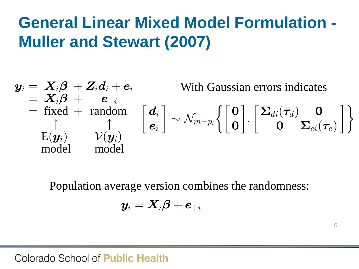### **General Linear Mixed Model Formulation - Muller and Stewart (2007)**

$$
\mathbf{y}_i = \mathbf{X}_i \boldsymbol{\beta} + \mathbf{Z}_i \mathbf{d}_i + \mathbf{e}_i \qquad \text{With Gaussian errors indicates} \\ = \mathbf{X}_i \boldsymbol{\beta} + \mathbf{e}_{+i} \\ = \text{fixed} + \text{ random} \\ \uparrow \\ \mathbf{E}(\mathbf{y}_i) \qquad \mathcal{V}(\mathbf{y}_i) \\ \text{model} \qquad \text{model} \\ \text{model} \qquad \text{model}
$$
\n
$$
\text{Population average version combines the randomness:} \\ \mathbf{y}_i = \mathbf{X}_i \boldsymbol{\beta} + \mathbf{e}_{+i}
$$

Population average version combines the randomness:

$$
\bm{y}_i = \bm{X}_i\bm{\beta} + \bm{e}_{+i}
$$

6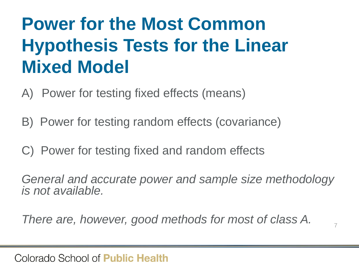### **Power for the Most Common Hypothesis Tests for the Linear Mixed Model**

- A) Power for testing fixed effects (means)
- B) Power for testing random effects (covariance)
- C) Power for testing fixed and random effects

*General and accurate power and sample size methodology is not available.*

*There are, however, good methods for most of class A.*  $\frac{1}{7}$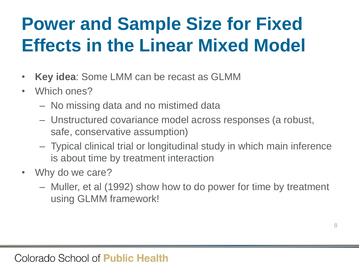# **Power and Sample Size for Fixed Effects in the Linear Mixed Model**

- **Key idea**: Some LMM can be recast as GLMM
- Which ones?
	- No missing data and no mistimed data
	- Unstructured covariance model across responses (a robust, safe, conservative assumption)
	- Typical clinical trial or longitudinal study in which main inference is about time by treatment interaction
- Why do we care?
	- Muller, et al (1992) show how to do power for time by treatment using GLMM framework!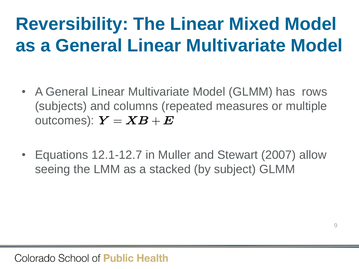# **Reversibility: The Linear Mixed Model as a General Linear Multivariate Model**

- A General Linear Multivariate Model (GLMM) has rows (subjects) and columns (repeated measures or multiple (subjects) and columns (repe $\text{outcomes)}: \bm{Y} = \bm{X}\bm{B} + \bm{E}$
- Equations 12.1-12.7 in Muller and Stewart (2007) allow seeing the LMM as a stacked (by subject) GLMM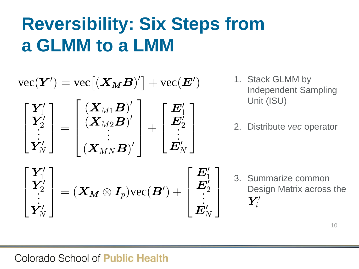# **Reversibility: Six Steps from** to a LMM<br> $[(X_M B)'] + vec(E')$ <sup>1. St.</sup>

**a GLMM to a LMM**  
\n
$$
\text{vec}(\boldsymbol{Y}') = \text{vec}[(\boldsymbol{X}_M \boldsymbol{B})'] + \text{vec}(\boldsymbol{E}')
$$
\n
$$
\begin{bmatrix}\n\boldsymbol{Y}'_1 \\
\boldsymbol{Y}'_2 \\
\vdots \\
\boldsymbol{Y}'_N\n\end{bmatrix} = \begin{bmatrix}\n(\boldsymbol{X}_M \boldsymbol{B})' \\
(\boldsymbol{X}_{M2} \boldsymbol{B})' \\
(\boldsymbol{X}_{MN} \boldsymbol{B})'\n\end{bmatrix} + \begin{bmatrix}\n\boldsymbol{E}'_1 \\
\boldsymbol{E}'_2 \\
\vdots \\
\boldsymbol{E}'_N\n\end{bmatrix}
$$
\n*2. Distributed*  
\n*2. Distributed*  
\n*2. Distributed*  
\n*3. Summar*  
\n*Y*'<sub>2</sub>  
\n*Y*'<sub>2</sub>  
\n*Y*'<sub>N</sub>  
\n*Y*'<sub>N</sub>  
\n*Y*'<sub>N</sub>  
\n*Y*'<sub>N</sub>  
\n*Y*'<sub>N</sub>  
\n*Y*'<sub>N</sub>  
\n*Y*'<sub>N</sub>  
\n*Y*'<sub>N</sub>  
\n*Y*'<sub>N</sub>  
\n*Y*'<sub>N</sub>  
\n*Y*'<sub>N</sub>  
\n*Y*'<sub>N</sub>  
\n*Y*'<sub>N</sub>  
\n*Y*'<sub>N</sub>  
\n*Y*'<sub>N</sub>  
\n*Y*'<sub>N</sub>  
\n*Y*'<sub>N</sub>  
\n*Y*'<sub>N</sub>  
\n*Y*'<sub>N</sub>  
\n*Y*'<sub>N</sub>  
\n*Y*'<sub>N</sub>  
\n*Y*'<sub>N</sub>  
\n*Y*'<sub>N</sub>  
\n*Y*'<sub>N</sub>  
\n*Y*'<sub>N</sub>  
\n*Y*'<sub>N</sub>  
\n*Y*'<sub>N</sub>  
\n*Y*'<sub>N</sub>  
\n*Y*'<sub>N</sub>  
\n*Y*'<sub>N</sub>  
\n*Y*'

 $\overline{p}$ 

 $\prime$ 

- 1. Stack GLMM by Independent Sampling Unit (ISU)
- 2. Distribute *vec* operator

$$
\begin{bmatrix}\n\mathbf{Y}'_1 \\
\mathbf{Y}'_2 \\
\vdots \\
\mathbf{Y}'_N\n\end{bmatrix} = (\mathbf{X_M} \otimes \mathbf{I}_p) \text{vec}(\mathbf{B}') + \begin{bmatrix}\n\mathbf{E}'_1 \\
\mathbf{E}'_2 \\
\vdots \\
\mathbf{E}'_N\n\end{bmatrix} \quad \text{3. Summarize common} \\
\text{Design Matrix across the} \\
\mathbf{Y}'_i\n\end{bmatrix}
$$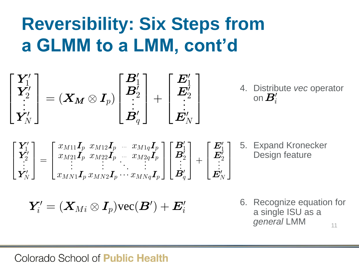# **Reversibility: Six Steps from a GLMM to a LMM, cont'd** a GLMM to a LMM, cont'd<br> $\begin{bmatrix} Y'_1 \\ Y'_2 \end{bmatrix}$   $\begin{bmatrix} B'_1 \\ B'_2 \end{bmatrix}$   $\begin{bmatrix} E'_1 \\ E'_2 \end{bmatrix}$  4. Di

**a GLMM to a LMM, cont'd**\n
$$
\begin{bmatrix}\nY_1' \\
Y_2' \\
\vdots \\
Y_N'\n\end{bmatrix} = (X_M \otimes I_p) \begin{bmatrix}\nB_1' \\
B_2' \\
\vdots \\
B_q'\n\end{bmatrix} + \begin{bmatrix}\nE_1' \\
E_2' \\
\vdots \\
E_N'\n\end{bmatrix} + \begin{bmatrix}\nA. \text{ Distribute } \nu \epsilon \\
\vdots \\
B_N'\n\end{bmatrix}
$$
\n
$$
\begin{bmatrix}\nY_1' \\
Y_2'\n\end{bmatrix} = \begin{bmatrix}\nx_{M11}I_p & x_{M12}I_p & \cdots & x_{M1q}I_p \\
x_{M21}I_p & x_{M22}I_p & \cdots & x_{M2q}I_p \\
\vdots & \vdots & \ddots & \vdots \\
x_{M21}I_p & x_{M22}I_p & \cdots & x_{M2q}I_p\n\end{bmatrix} \begin{bmatrix}\nB_1' \\
B_2' \\
\vdots\n\end{bmatrix} + \begin{bmatrix}\nE_1' \\
E_2' \\
\vdots\n\end{bmatrix} \begin{bmatrix}\n5. \text{ Expand Krou} \\
\text{Design featu}\n\end{bmatrix}
$$

4. Distribute *vec* operator on  $\overline{B_i'}$ 

$$
\begin{bmatrix}\n\mathbf{Y}_{N}^{2} \\
\mathbf{Y}_{N}^{'}\n\end{bmatrix} = \begin{bmatrix}\n\mathbf{X}_{M} \otimes \mathbf{I}_{p}\n\end{bmatrix}\n\begin{bmatrix}\n\mathbf{Y}_{2}^{2} \\
\mathbf{B}_{q}^{'}\n\end{bmatrix} + \begin{bmatrix}\n\mathbf{Z}_{2}^{2} \\
\mathbf{E}_{N}^{'}\n\end{bmatrix} \quad \text{on } \mathbf{B}_{i}^{\prime}
$$
\n
$$
\begin{bmatrix}\n\mathbf{Y}_{1}^{\prime} \\
\mathbf{Y}_{2}^{\prime} \\
\mathbf{Y}_{3}^{\prime}\n\end{bmatrix} = \begin{bmatrix}\n\begin{bmatrix}\nx_{M11}\mathbf{I}_{p} & x_{M12}\mathbf{I}_{p} & \cdots & x_{M1q}\mathbf{I}_{p} \\
x_{M21}\mathbf{I}_{p} & x_{M22}\mathbf{I}_{p} & \cdots & x_{M2q}\mathbf{I}_{p} \\
\vdots & \vdots & \ddots & \vdots \\
x_{MN1}\mathbf{I}_{p} & x_{MN2}\mathbf{I}_{p} & \cdots & x_{MNq}\mathbf{I}_{p}\n\end{bmatrix}\n\begin{bmatrix}\n\mathbf{B}_{1}^{'} \\
\mathbf{B}_{2}^{'} \\
\vdots \\
\mathbf{B}_{q}^{'}\n\end{bmatrix} + \begin{bmatrix}\n\mathbf{E}_{1}^{\prime} \\
\mathbf{E}_{2}^{\prime} \\
\vdots \\
\mathbf{E}_{N}^{\prime}\n\end{bmatrix} \quad \text{Design featt}
$$
\n
$$
\mathbf{Y}_{i}^{\prime} = (\mathbf{X}_{Mi} \otimes \mathbf{I}_{p}) \text{vec}(\mathbf{B}^{\prime}) + \mathbf{E}_{i}^{\prime} \quad \text{6. Recognize eqa single ISU general IMM}
$$

5. Expand Kronecker Design feature

6. Recognize equation for a single ISU as a *general* LMM 11

$$
\begin{array}{ll} \quad \vdots & \vdots & \vdots \\ & \downarrow x_{MN1} \boldsymbol{I_p}\, x_{MN2} \boldsymbol{I_p} \cdots x_{MNq} \boldsymbol{I_p} \end{array} \begin{array}{ll} \ & \downarrow \boldsymbol{B}_q' \end{array} \begin{array}{ll} \ & \downarrow \boldsymbol{E}_N' \end{array}
$$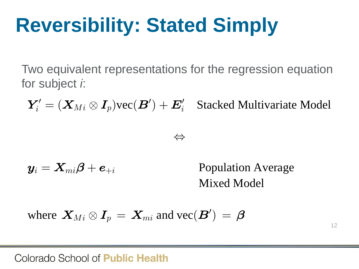**Reversibility: Stated Simply**<br>Two equivalent representations for the regression<br>for subject *i*:<br> $Y'_i = (X_{Mi} \otimes I_p) \text{vec}(B') + E'_i$  Stacked Multivan Two equivalent representations for the regression equation for subject *i*: wo equivalent representations for the regression<br>
or subject *i*:<br>  $\boldsymbol{Y}'_i = (\boldsymbol{X}_{Mi} \otimes \boldsymbol{I}_p) \text{vec}(\boldsymbol{B}') + \boldsymbol{E}'_i \quad \text{Stacked Multiv:}$ For equivalent representations for the regresubject i:<br>  $\mathbf{F}_i' = (\boldsymbol{X}_{Mi} \otimes \boldsymbol{I}_p) \text{vec}(\boldsymbol{B}') + \boldsymbol{E}_i' \quad \text{Stacked Mu}$ b equivalent representations for the regre<br>subject *i*:<br> $\mathbf{W} = (\boldsymbol{X}_{Mi} \otimes \boldsymbol{I}_p) \text{vec}(\boldsymbol{B}') + \boldsymbol{E}_i' \quad \text{Stacked Mu}$ valent representation $\mathbf{t} \text{ } \dot{h}$ : $\dot{M} \otimes \boldsymbol{I}_p) \text{vec}(\boldsymbol{B}') + \boldsymbol{E}$ equivalent representations for the regres<br>ubject *i*:<br>=  $(X_{Mi} \otimes I_p) \text{vec}(\mathbf{B}') + \mathbf{E}'_i$  Stacked Mult gresentations for the regression equation<br>vec( $B'$ ) +  $E'_i$  Stacked Multivariate Model

$$
Y'_i = (X_{Mi} \otimes I_p) \text{vec}(\mathcal{B}') + E'_i
$$
 Stacked Multivariate Model  
\n $\Leftrightarrow$   
\n $y_i = X_{mi} \beta + e_{+i}$  Population Average  
\nMixed Model

$$
\Leftrightarrow
$$

$$
\boldsymbol{y}_i = \boldsymbol{X}_{mi}\boldsymbol{\beta} + \boldsymbol{e}_{+i}
$$

 $X_{mi}\boldsymbol{\beta} + \boldsymbol{e}_{+i}$  Population Average<br>Mixed Model<br> $\boldsymbol{X}_{Mi} \otimes \boldsymbol{I}_p = \boldsymbol{X}_{mi}$  and  $\text{vec}(\boldsymbol{B}') = \boldsymbol{\beta}$ +  $e_{+i}$  Population Average<br>Mixed Model<br> $\otimes I_p = X_{mi}$  and  $\text{vec}(\mathbf{B}') = \boldsymbol{\beta}$ Population Average<br>Mixed Model<br> $(B') = \beta$ Population Average Mixed Model

$$
\mathbf{y}_i - \mathbf{\Lambda}_{mi} \boldsymbol{\rho} + \boldsymbol{e}_{+i} \qquad \text{Population}
$$
\nMixed M

\nwhere  $\mathbf{X}_{Mi} \otimes \mathbf{I}_p = \mathbf{X}_{mi}$  and  $\text{vec}(\mathbf{B}') = \boldsymbol{\beta}$ 

12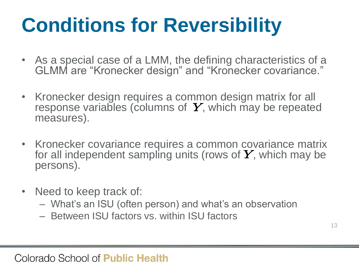# **Conditions for Reversibility**

- As a special case of a LMM, the defining characteristics of a GLMM are "Kronecker design" and "Kronecker covariance."
- Kronecker design requires a common design matrix for all response variables (columns of  $Y$ , which may be repeated measures).
- Kronecker covariance requires a common covariance matrix for all independent sampling units (rows of  $\boldsymbol{Y}$ , which may be persons).
- Need to keep track of:
	- What's an ISU (often person) and what's an observation
	- Between ISU factors vs. within ISU factors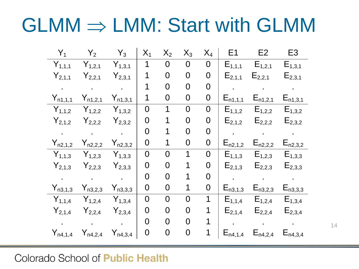# $GLMM \Rightarrow LMM$ : Start with GLMM

| $Y_1$                        | $Y_2$                                                                                    | $Y_3$                   | $X_1$          | $X_2$            | $X_3$            | $X_4$            | E1              | E2                                                          | E <sub>3</sub>          |
|------------------------------|------------------------------------------------------------------------------------------|-------------------------|----------------|------------------|------------------|------------------|-----------------|-------------------------------------------------------------|-------------------------|
| $Y_{1,1,1}$                  | $Y_{1,2,1}$                                                                              | $Y_{1,3,1}$             | 1              | $\overline{0}$   | $\overline{0}$   | $\overline{0}$   | $E_{1,1,1}$     | $E_{1,2,1}$                                                 | $E_{1,3,1}$             |
| $Y_{2,1,1}$                  | $Y_{2,2,1}$                                                                              | $Y_{2,3,1}$             | 1              | $\mathbf 0$      | $\mathsf{O}$     | $\boldsymbol{0}$ | $E_{2,1,1}$     | $E_{2,2,1}$                                                 | $E_{2,3,1}$             |
|                              | $\bullet$ . The set of $\bullet$                                                         | $\sim 10^{-10}$         | 1              | $\mathbf 0$      | $\mathbf 0$      | $\mathbf 0$      |                 | $\sim 100$ km s $^{-1}$                                     | $\sim 100$ km s $^{-1}$ |
| $Y_{n1,1,1}$                 | $Y_{n1,2,1}$                                                                             | $Y_{n1,3,1}$            | 1              | $\boldsymbol{0}$ | $\boldsymbol{0}$ | $\mathbf 0$      | $E_{n1,1,1}$    | $E_{n1,2,1}$                                                | $E_{n1,3,1}$            |
| $Y_{1,1,2}$                  | $Y_{1,2,2}$                                                                              | $Y_{1,3,2}$             | $\overline{0}$ | 1                | $\overline{0}$   | $\boldsymbol{0}$ | $E_{1,1,2}$     | $E_{1,2,2}$                                                 | $E_{1,3,2}$             |
| $Y_{2,1,2}$                  | $Y_{2,2,2}$                                                                              | $Y_{2,3,2}$             | 0              | 1                | $\mathbf 0$      | $\overline{0}$   | $E_{2,1,2}$     | $E_{2,2,2}$                                                 | $E_{2,3,2}$             |
| $\sim 10^{-10}$ km s $^{-1}$ | $\mathcal{L}(\mathcal{A})$ . The contract of $\mathcal{A}(\mathcal{A})$                  |                         | $\overline{0}$ | 1                | $\overline{0}$   | $\mathbf 0$      |                 | $\mathcal{L}(\mathbf{r},\mathbf{r})$ .                      |                         |
| $Y_{n2,1,2}$                 | $Y_{n2,2,2}$                                                                             | $Y_{n2,3,2}$            | $\overline{0}$ | 1                | 0                | $\mathbf 0$      | $E_{n2,1,2}$    | $E_{n2,2,2}$                                                | $E_{n2,3,2}$            |
| $Y_{1,1,3}$                  | $Y_{1,2,3}$                                                                              | $Y_{1,3,3}$             | $\mathbf 0$    | $\overline{0}$   | $\mathbf 1$      | $\mathbf 0$      | $E_{1,1,3}$     | $E_{1,2,3}$                                                 | $E_{1,3,3}$             |
| $Y_{2,1,3}$                  | $Y_{2,2,3}$                                                                              | $Y_{2,3,3}$             | $\overline{0}$ | $\overline{0}$   | 1                | $\boldsymbol{0}$ | $E_{2,1,3}$     | $E_{2,2,3}$                                                 | $E_{2,3,3}$             |
| $\sim 10^{-11}$              | $\sim 100$ km s $^{-1}$                                                                  | $\sim 10^{-10}$         | $\overline{0}$ | $\overline{0}$   | 1                | $\mathbf 0$      | $\sim 10^{-11}$ | $\sim 10^{-10}$                                             | $\sim 100$              |
| $Y_{n3,1,3}$                 | $Y_{n3,2,3}$                                                                             | $Y_{n3,3,3}$            | $\overline{0}$ | 0                | 1                | $\mathbf 0$      | $E_{n3,1,3}$    | $E_{n3,2,3}$                                                | $E_{n3,3,3}$            |
| $Y_{1,1,4}$                  | $Y_{1,2,4}$                                                                              | $Y_{1,3,4}$             | 0              | $\mathbf 0$      | $\overline{0}$   | 1                | $E_{1,1,4}$     | $E_{1,2,4}$                                                 | $E_{1,3,4}$             |
| $Y_{2,1,4}$                  | $Y_{2,2,4}$                                                                              | $Y_{2,3,4}$             | $\overline{0}$ | 0                | 0                | 1                | $E_{2,1,4}$     | $E_{2,2,4}$                                                 | $E_{2,3,4}$             |
|                              | $\mathcal{A}(\mathcal{A})$ and $\mathcal{A}(\mathcal{A})$ and $\mathcal{A}(\mathcal{A})$ | $\sim 100$ km s $^{-1}$ | $\overline{0}$ | $\overline{0}$   | $\overline{0}$   | 1                |                 | $\bullet$ .<br><br><br><br><br><br><br><br><br><br><br><br> |                         |
| $Y_{n4,1,4}$                 | $Y_{n4,2,4}$                                                                             | $Y_{n4,3,4}$            | $\mathbf 0$    | $\mathbf 0$      | $\boldsymbol{0}$ | $\mathbf 1$      | $E_{n4,1,4}$    | $E_{n4,2,4}$                                                | $E_{n4,3,4}$            |

**Colorado School of Public Health** 

14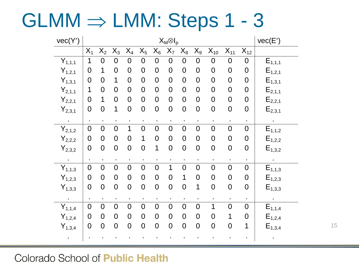$GLMM \Rightarrow LMM: Steps 1 - 3$ 

| vec(Y')              | $X_M \otimes I_p$ |                |                |                |                |                  |                |                |                  |                |                     | vec(E')          |                      |
|----------------------|-------------------|----------------|----------------|----------------|----------------|------------------|----------------|----------------|------------------|----------------|---------------------|------------------|----------------------|
|                      | $X_1$             | $X_2$          | $X_3$          | $X_4$          | $X_5$          | $X_6$            | $X_7$          | $X_8$          | $X_9$            | $X_{10}$       | $\overline{X}_{11}$ | $X_{12}$         |                      |
| $Y_{1,1,1}$          | 1                 | 0              | 0              | 0              | $\overline{0}$ | $\boldsymbol{0}$ | $\mathbf 0$    | 0              | $\mathbf 0$      | $\mathbf 0$    | 0                   | $\mathbf 0$      | $E_{1,1,1}$          |
| $Y_{1,2,1}$          | $\overline{0}$    | 1              | $\overline{0}$ | 0              | $\overline{0}$ | $\overline{0}$   | $\overline{0}$ | $\mathbf 0$    | $\mathbf 0$      | $\mathbf 0$    | $\mathbf 0$         | $\overline{0}$   | $E_{1,2,1}$          |
| $Y_{1,3,1}$          | $\overline{0}$    | $\overline{0}$ | 1              | $\overline{0}$ | $\mathbf 0$    | $\mathbf 0$      | $\overline{0}$ | $\overline{0}$ | $\mathbf 0$      | $\mathbf 0$    | $\mathbf 0$         | $\mathbf 0$      | $E_{1,3,1}$          |
| $Y_{2,1,1}$          | 1                 | $\overline{0}$ | $\overline{0}$ | 0              | $\mathbf 0$    | $\mathbf 0$      | $\overline{0}$ | $\mathbf 0$    | $\mathbf 0$      | $\overline{0}$ | $\overline{0}$      | $\mathbf 0$      | $\mathsf{E}_{2,1,1}$ |
| $Y_{2,2,1}$          | $\overline{0}$    | 1              | $\overline{0}$ | $\overline{0}$ | $\mathbf 0$    | $\overline{0}$   | $\overline{0}$ | $\overline{0}$ | $\mathbf 0$      | $\overline{0}$ | $\overline{0}$      | $\mathbf 0$      | $E_{2,2,1}$          |
| $Y_{2,3,1}$          | $\mathbf 0$       | $\overline{0}$ | 1              | $\overline{0}$ | $\mathbf 0$    | $\mathbf 0$      | $\mathbf 0$    | $\overline{0}$ | $\mathbf 0$      | $\overline{0}$ | $\mathbf 0$         | $\mathbf 0$      | $E_{2,3,1}$          |
|                      |                   |                |                | $\blacksquare$ |                |                  |                |                |                  |                |                     | $\blacksquare$   |                      |
| $\bar{Y}_{2,1,2}$    | $\overline{0}$    | $\overline{0}$ | $\overline{0}$ | 1              | $\overline{0}$ | $\overline{0}$   | $\overline{0}$ | $\overline{0}$ | $\boldsymbol{0}$ | $\overline{0}$ | $\overline{0}$      | $\mathbf 0$      | $E_{1,1,2}$          |
| $\mathsf{Y}_{2,2,2}$ | $\mathbf 0$       | $\mathbf 0$    | $\overline{0}$ | $\overline{0}$ | 1              | $\mathbf 0$      | $\mathbf 0$    | $\mathbf 0$    | $\pmb{0}$        | $\mathbf 0$    | $\mathbf 0$         | $\mathbf 0$      | $E_{1,2,2}$          |
| $Y_{2,3,2}$          | $\mathbf 0$       | $\overline{0}$ | $\overline{0}$ | $\overline{0}$ | $\overline{0}$ | 1                | $\mathbf 0$    | $\mathbf 0$    | $\mathbf 0$      | $\overline{0}$ | $\mathbf 0$         | $\mathbf 0$      | $E_{1,3,2}$          |
| $\ddot{\phantom{0}}$ |                   | $\blacksquare$ | $\blacksquare$ |                |                |                  |                | ٠              | $\blacksquare$   |                |                     |                  |                      |
| $Y_{1,1,3}$          | $\overline{0}$    | $\overline{0}$ | $\overline{0}$ | $\overline{0}$ | $\overline{0}$ | $\mathbf 0$      | 1              | $\overline{0}$ | $\mathbf 0$      | $\overline{0}$ | $\overline{0}$      | $\mathbf 0$      | $E_{1,1,3}$          |
| $Y_{1,2,3}$          | $\overline{0}$    | $\overline{0}$ | $\overline{0}$ | $\overline{0}$ | $\mathbf 0$    | $\mathbf 0$      | $\overline{0}$ | 1              | $\mathbf 0$      | $\mathbf 0$    | $\mathbf 0$         | $\mathbf 0$      | $E_{1,2,3}$          |
| $Y_{1,3,3}$          | $\mathbf 0$       | $\mathbf 0$    | $\mathbf 0$    | $\mathbf 0$    | $\mathbf 0$    | $\mathbf 0$      | $\mathbf 0$    | $\mathbf 0$    | $\mathbf 1$      | $\overline{0}$ | $\mathbf 0$         | $\boldsymbol{0}$ | $E_{1,3,3}$          |
|                      |                   | $\blacksquare$ | $\blacksquare$ |                |                | $\blacksquare$   | $\blacksquare$ | $\blacksquare$ |                  |                |                     |                  |                      |
| $\bar{Y}_{1,1,4}$    | $\overline{0}$    | $\overline{0}$ | $\overline{0}$ | $\overline{0}$ | $\overline{0}$ | $\mathbf 0$      | $\overline{0}$ | $\overline{0}$ | $\overline{0}$   | 1              | $\overline{0}$      | $\mathbf 0$      | $E_{1,1,4}$          |
| $Y_{1,2,4}$          | $\mathbf 0$       | $\mathbf 0$    | $\overline{0}$ | $\overline{0}$ | $\mathbf 0$    | $\mathbf 0$      | $\overline{0}$ | $\overline{0}$ | $\pmb{0}$        | $\mathbf 0$    | 1                   | $\mathbf 0$      | $E_{1,2,4}$          |
| $Y_{1,3,4}$          | $\mathbf 0$       | $\mathbf 0$    | $\mathbf 0$    | $\overline{0}$ | $\mathbf 0$    | $\mathbf 0$      | $\mathbf 0$    | $\mathbf 0$    | $\mathbf 0$      | $\overline{0}$ | $\mathbf 0$         | 1                | $E_{1,3,4}$          |
|                      |                   |                |                |                |                |                  |                |                |                  |                |                     |                  |                      |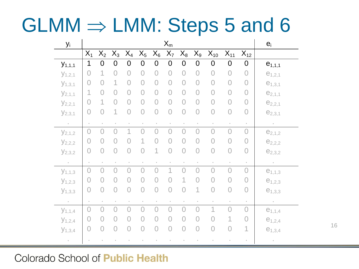# $GLMM \Rightarrow LMM$ : Steps 5 and 6

| $y_i$       | $X_m$          |                |                |                |                |                |                |                |                |                     |                     | $e_i$               |             |
|-------------|----------------|----------------|----------------|----------------|----------------|----------------|----------------|----------------|----------------|---------------------|---------------------|---------------------|-------------|
|             | $X_1$          | $X_2$          | $X_3$          | $X_4$          | $X_5$          | $X_6$          | $X_7$          | $\mathsf{X}_8$ | $X_9$          | $X_{10}$            | $X_{11}$            | $X_{12}$            |             |
| $y_{1,1,1}$ | 1              | $\Omega$       | 0              | $\overline{0}$ | $\overline{0}$ | $\overline{0}$ | $\overline{0}$ | $\overline{0}$ | $\overline{0}$ | $\overline{0}$      | $\overline{0}$      | $\overline{0}$      | $e_{1,1,1}$ |
| $y_{1,2,1}$ | 0              |                | 0              | $\overline{0}$ | $\overline{0}$ | $\overline{0}$ | $\overline{0}$ | $\overline{0}$ | $\overline{0}$ | $\overline{O}$      | $\overline{O}$      | $\overline{O}$      | $e_{1,2,1}$ |
| $y_{1,3,1}$ | $\overline{O}$ | $\bigcap$      |                | $\overline{O}$ | $\overline{0}$ | $\bigcap$      | $\overline{0}$ | $\overline{O}$ | $\overline{O}$ | $\bigcirc$          | $\overline{0}$      | $\bigcirc$          | $e_{1,3,1}$ |
| $y_{2,1,1}$ | 1              | $\overline{O}$ | $\overline{0}$ | $\overline{O}$ | $\overline{O}$ | $\bigcap$      | $\overline{0}$ | $\overline{0}$ | $\overline{O}$ | $\overline{O}$      | $\overline{0}$      | $\overline{0}$      | $e_{2,1,1}$ |
| $y_{2,2,1}$ | $\overline{0}$ |                | $\overline{O}$ | $\overline{O}$ | $\overline{O}$ | $\overline{O}$ | $\overline{O}$ | $\overline{O}$ | $\overline{O}$ | $\overline{O}$      | $\overline{0}$      | $\overline{O}$      | $e_{2,2,1}$ |
| $y_{2,3,1}$ | $\overline{0}$ | $\overline{O}$ | 1              | $\overline{O}$ | $\overline{O}$ | $\overline{0}$ | $\overline{O}$ | $\overline{O}$ | $\bigcirc$     | $\overline{0}$      | $\overline{O}$      | $\bigcirc$          | $e_{2,3,1}$ |
| $\epsilon$  |                |                |                |                |                |                |                |                |                |                     | $\bar{\phantom{a}}$ | $\bar{\phantom{a}}$ | $\circ$     |
| $y_{2,1,2}$ | $\overline{O}$ | $\bigcap$      |                |                |                |                | $\bigcap$      | $\bigcap$      | $\overline{O}$ | $\overline{0}$      | $\overline{O}$      | $\overline{0}$      | $e_{2,1,2}$ |
| $y_{2,2,2}$ | $\overline{0}$ | $\overline{0}$ | $\overline{0}$ |                |                |                | $\overline{0}$ | $\overline{0}$ | $\overline{0}$ | $\overline{O}$      | $\overline{O}$      | $\overline{O}$      | $e_{2,2,2}$ |
| $y_{2,3,2}$ | $\overline{O}$ | $\overline{O}$ | $\overline{O}$ | $\overline{0}$ |                | 1              | $\overline{O}$ | $\overline{O}$ | $\overline{O}$ | $\overline{0}$      | $\overline{O}$      | $\bigcirc$          | $e_{2,3,2}$ |
| $\circ$     |                |                |                |                |                |                |                |                |                | $\blacksquare$      |                     | $\bar{a}$           | $\circ$     |
| $y_{1,1,3}$ | $\overline{O}$ | $\overline{O}$ | $\overline{O}$ | $\overline{O}$ | $\overline{O}$ | $\bigcap$      | 1              | $\overline{O}$ | $\overline{O}$ | $\overline{O}$      | $\overline{O}$      | $\overline{O}$      | $e_{1,1,3}$ |
| $y_{1,2,3}$ | $\overline{0}$ | $\overline{0}$ | $\overline{0}$ | $\overline{0}$ | $\overline{0}$ | 0              | $\overline{0}$ | 1              | $\overline{O}$ | $\overline{O}$      | $\overline{0}$      | $\overline{O}$      | $e_{1,2,3}$ |
| $y_{1,3,3}$ | $\bigcirc$     | $\overline{O}$ | $\overline{O}$ | $\overline{O}$ | $\overline{O}$ | $\overline{O}$ | $\overline{O}$ | $\overline{O}$ | 1              | $\overline{0}$      | $\overline{O}$      | $\bigcirc$          | $e_{1,3,3}$ |
| $\epsilon$  | $\bar{z}$      |                |                |                |                | $\equiv$       |                | $\bar{a}$      |                | $\bar{\phantom{a}}$ | $\bar{z}$           | $\sim$              | $\epsilon$  |
| $y_{1,1,4}$ | $\overline{0}$ | $\overline{0}$ | 0              |                | 0              |                | $\Omega$       | $\overline{0}$ | 0              | 1                   | $\overline{O}$      | $\overline{O}$      | $e_{1,1,4}$ |
| $y_{1,2,4}$ | $\overline{0}$ | $\overline{0}$ | $\overline{0}$ | 0              | 0              | 0              | $\overline{0}$ | 0              | 0              | $\overline{O}$      | 1                   | $\overline{0}$      | $e_{1,2,4}$ |
| $y_{1,3,4}$ | $\bigcirc$     | $\bigcirc$     | $\bigcirc$     | $\overline{O}$ | $\overline{O}$ | $\overline{O}$ | $\overline{O}$ | $\overline{0}$ | $\bigcirc$     | $\overline{0}$      | $\overline{O}$      | $\mathbf 1$         | $e_{1,3,4}$ |
| $\circ$     |                |                |                |                |                |                |                |                |                |                     |                     |                     | $\alpha$    |

Colorado School of Public Health

16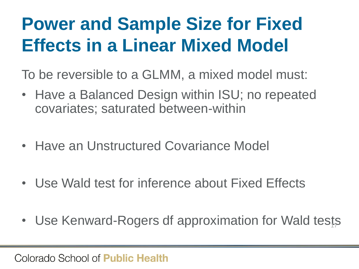### **Power and Sample Size for Fixed Effects in a Linear Mixed Model**

To be reversible to a GLMM, a mixed model must:

- Have a Balanced Design within ISU; no repeated covariates; saturated between-within
- Have an Unstructured Covariance Model
- Use Wald test for inference about Fixed Effects
- Use Kenward-Rogers df approximation for Wald tests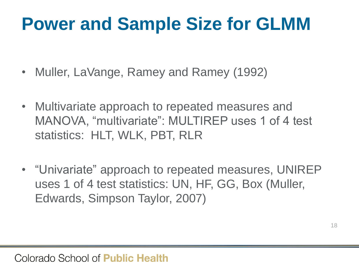### **Power and Sample Size for GLMM**

- Muller, LaVange, Ramey and Ramey (1992)
- Multivariate approach to repeated measures and MANOVA, "multivariate": MULTIREP uses 1 of 4 test statistics: HLT, WLK, PBT, RLR
- "Univariate" approach to repeated measures, UNIREP uses 1 of 4 test statistics: UN, HF, GG, Box (Muller, Edwards, Simpson Taylor, 2007)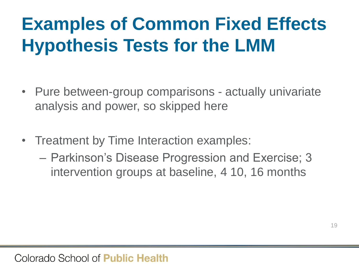# **Examples of Common Fixed Effects Hypothesis Tests for the LMM**

- Pure between-group comparisons actually univariate analysis and power, so skipped here
- Treatment by Time Interaction examples:
	- Parkinson's Disease Progression and Exercise; 3 intervention groups at baseline, 4 10, 16 months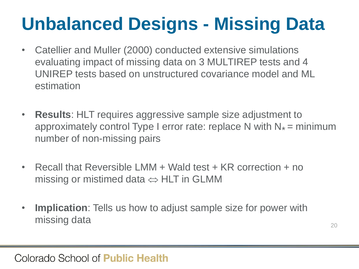# **Unbalanced Designs - Missing Data**

- Catellier and Muller (2000) conducted extensive simulations evaluating impact of missing data on 3 MULTIREP tests and 4 UNIREP tests based on unstructured covariance model and ML estimation
- **Results**: HLT requires aggressive sample size adjustment to approximately control Type I error rate: replace N with  $N_* =$  minimum number of non-missing pairs
- Recall that Reversible LMM + Wald test + KR correction + no missing or mistimed data  $\Leftrightarrow$  HLT in GLMM
- **Implication**: Tells us how to adjust sample size for power with missing data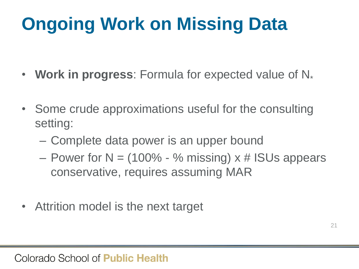# **Ongoing Work on Missing Data**

- **Work in progress**: Formula for expected value of N<sub>\*</sub>
- Some crude approximations useful for the consulting setting:
	- Complete data power is an upper bound
	- Power for  $N = (100\% \%$  missing)  $x \#$  ISUs appears conservative, requires assuming MAR
- Attrition model is the next target